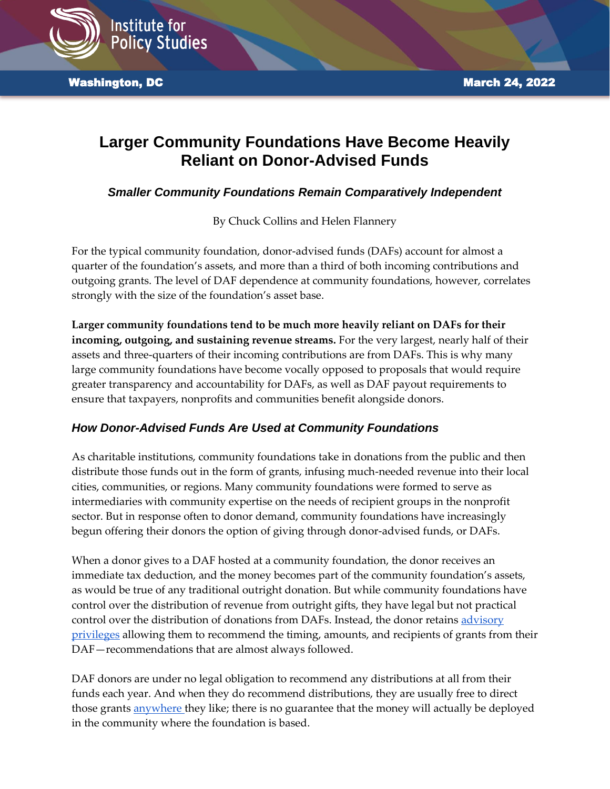

**Washington, DC March 24, 2022** 

# **Larger Community Foundations Have Become Heavily Reliant on Donor-Advised Funds**

*Smaller Community Foundations Remain Comparatively Independent*

By Chuck Collins and Helen Flannery

For the typical community foundation, donor-advised funds (DAFs) account for almost a quarter of the foundation's assets, and more than a third of both incoming contributions and outgoing grants. The level of DAF dependence at community foundations, however, correlates strongly with the size of the foundation's asset base.

**Larger community foundations tend to be much more heavily reliant on DAFs for their incoming, outgoing, and sustaining revenue streams.** For the very largest, nearly half of their assets and three-quarters of their incoming contributions are from DAFs. This is why many large community foundations have become vocally opposed to proposals that would require greater transparency and accountability for DAFs, as well as DAF payout requirements to ensure that taxpayers, nonprofits and communities benefit alongside donors.

# *How Donor-Advised Funds Are Used at Community Foundations*

As charitable institutions, community foundations take in donations from the public and then distribute those funds out in the form of grants, infusing much-needed revenue into their local cities, communities, or regions. Many community foundations were formed to serve as intermediaries with community expertise on the needs of recipient groups in the nonprofit sector. But in response often to donor demand, community foundations have increasingly begun offering their donors the option of giving through donor-advised funds, or DAFs.

When a donor gives to a DAF hosted at a community foundation, the donor receives an immediate tax deduction, and the money becomes part of the community foundation's assets, as would be true of any traditional outright donation. But while community foundations have control over the distribution of revenue from outright gifts, they have legal but not practical control over the distribution of donations from DAFs. Instead, the donor retains [advisory](https://www.cof.org/public-policy/donor-advised-funds#:~:text=A%20donor%20advised%20fund%20(DAF,that%20the%20donor%20cares%20about.)  [privileges](https://www.cof.org/public-policy/donor-advised-funds#:~:text=A%20donor%20advised%20fund%20(DAF,that%20the%20donor%20cares%20about.) allowing them to recommend the timing, amounts, and recipients of grants from their DAF—recommendations that are almost always followed.

DAF donors are under no legal obligation to recommend any distributions at all from their funds each year. And when they do recommend distributions, they are usually free to direct those grants [anywhere t](https://www.fidelitycharitable.org/guidance/philanthropy/community-foundations.html)hey like; there is no guarantee that the money will actually be deployed in the community where the foundation is based.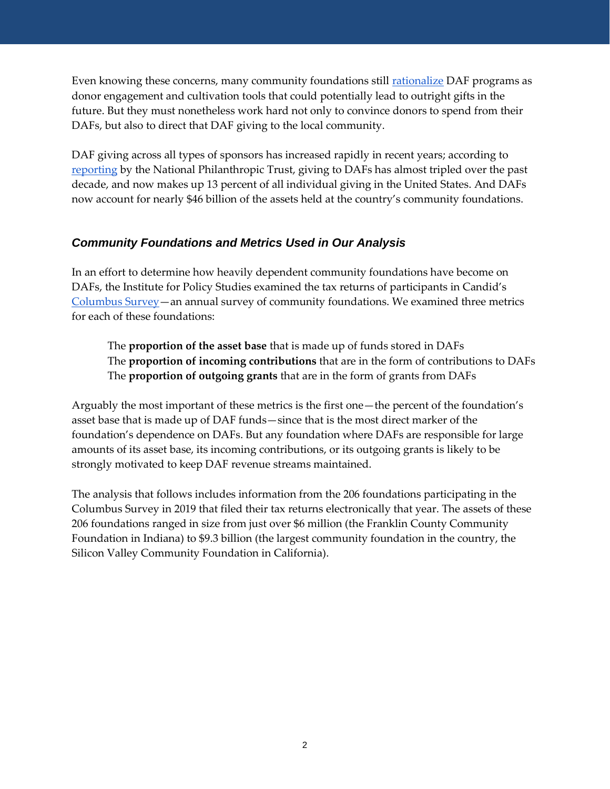Even knowing these concerns, many community foundations still [rationalize](https://www.insidephilanthropy.com/home/2015/2/26/a-vital-pipeline-how-donor-advised-funds-engage-new-donors-a.html) DAF programs as donor engagement and cultivation tools that could potentially lead to outright gifts in the future. But they must nonetheless work hard not only to convince donors to spend from their DAFs, but also to direct that DAF giving to the local community.

DAF giving across all types of sponsors has increased rapidly in recent years; according to [reporting](https://www.nptrust.org/reports/daf-report/) by the National Philanthropic Trust, giving to DAFs has almost tripled over the past decade, and now makes up 13 percent of all individual giving in the United States. And DAFs now account for nearly \$46 billion of the assets held at the country's community foundations.

#### *Community Foundations and Metrics Used in Our Analysis*

In an effort to determine how heavily dependent community foundations have become on DAFs, the Institute for Policy Studies examined the tax returns of participants in Candid's [Columbus Survey](https://columbussurvey.cfinsights.org/dashboard/year/2019/tab/data-lists/)—an annual survey of community foundations. We examined three metrics for each of these foundations:

The **proportion of the asset base** that is made up of funds stored in DAFs The **proportion of incoming contributions** that are in the form of contributions to DAFs The **proportion of outgoing grants** that are in the form of grants from DAFs

Arguably the most important of these metrics is the first one—the percent of the foundation's asset base that is made up of DAF funds—since that is the most direct marker of the foundation's dependence on DAFs. But any foundation where DAFs are responsible for large amounts of its asset base, its incoming contributions, or its outgoing grants is likely to be strongly motivated to keep DAF revenue streams maintained.

The analysis that follows includes information from the 206 foundations participating in the Columbus Survey in 2019 that filed their tax returns electronically that year. The assets of these 206 foundations ranged in size from just over \$6 million (the Franklin County Community Foundation in Indiana) to \$9.3 billion (the largest community foundation in the country, the Silicon Valley Community Foundation in California).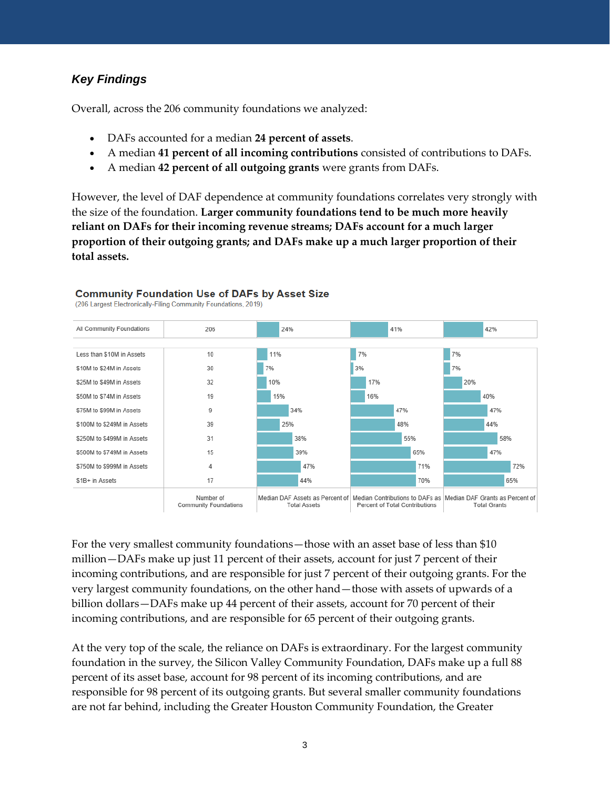### *Key Findings*

Overall, across the 206 community foundations we analyzed:

- DAFs accounted for a median **24 percent of assets**.
- A median **41 percent of all incoming contributions** consisted of contributions to DAFs.
- A median **42 percent of all outgoing grants** were grants from DAFs.

However, the level of DAF dependence at community foundations correlates very strongly with the size of the foundation. **Larger community foundations tend to be much more heavily reliant on DAFs for their incoming revenue streams; DAFs account for a much larger proportion of their outgoing grants; and DAFs make up a much larger proportion of their total assets.**



#### **Community Foundation Use of DAFs by Asset Size**

(206 Largest Electronically-Filing Community Foundations, 2019)

For the very smallest community foundations—those with an asset base of less than \$10 million—DAFs make up just 11 percent of their assets, account for just 7 percent of their incoming contributions, and are responsible for just 7 percent of their outgoing grants. For the very largest community foundations, on the other hand—those with assets of upwards of a billion dollars—DAFs make up 44 percent of their assets, account for 70 percent of their incoming contributions, and are responsible for 65 percent of their outgoing grants.

At the very top of the scale, the reliance on DAFs is extraordinary. For the largest community foundation in the survey, the Silicon Valley Community Foundation, DAFs make up a full 88 percent of its asset base, account for 98 percent of its incoming contributions, and are responsible for 98 percent of its outgoing grants. But several smaller community foundations are not far behind, including the Greater Houston Community Foundation, the Greater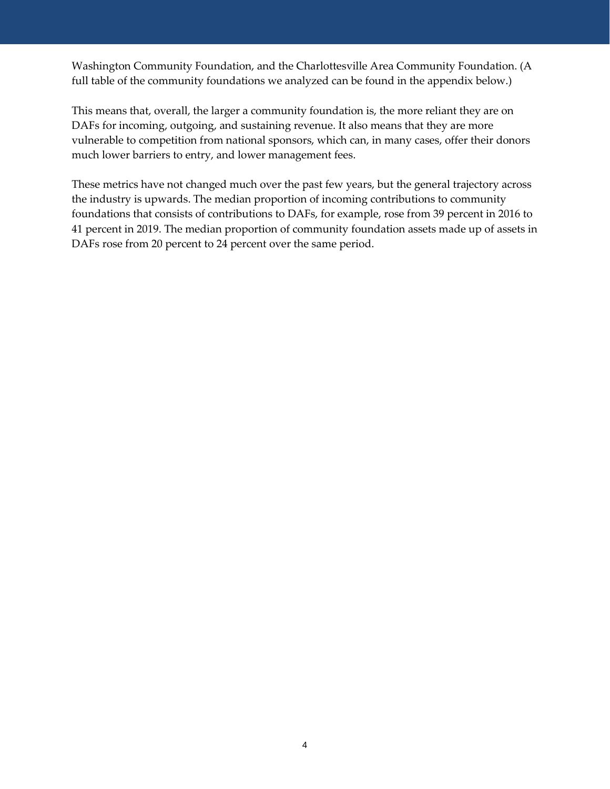Washington Community Foundation, and the Charlottesville Area Community Foundation. (A full table of the community foundations we analyzed can be found in the appendix below.)

This means that, overall, the larger a community foundation is, the more reliant they are on DAFs for incoming, outgoing, and sustaining revenue. It also means that they are more vulnerable to competition from national sponsors, which can, in many cases, offer their donors much lower barriers to entry, and lower management fees.

These metrics have not changed much over the past few years, but the general trajectory across the industry is upwards. The median proportion of incoming contributions to community foundations that consists of contributions to DAFs, for example, rose from 39 percent in 2016 to 41 percent in 2019. The median proportion of community foundation assets made up of assets in DAFs rose from 20 percent to 24 percent over the same period.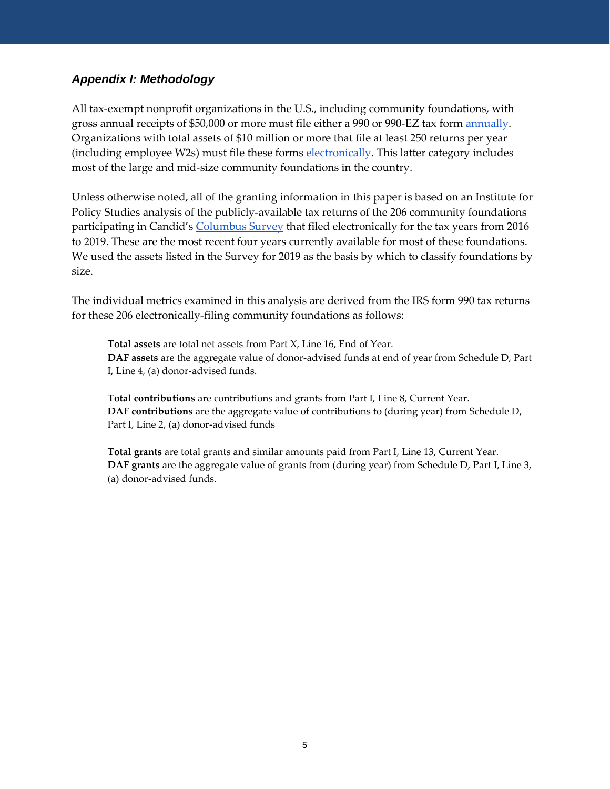#### *Appendix I: Methodology*

All tax-exempt nonprofit organizations in the U.S., including community foundations, with gross annual receipts of \$50,000 or more must file either a 990 or 990-EZ tax form [annually.](https://www.irs.gov/charities-non-profits/exempt-organization-annual-filing-requirements-overview#:~:text=An%20organization%20that%20normally%20has,Organization%20Exempt%20from%20Income%20Tax.) Organizations with total assets of \$10 million or more that file at least 250 returns per year (including employee W2s) must file these forms [electronically.](https://www.irs.gov/charities-non-profits/exempt-organizations-e-file-large-organizations-required-to-file-electronically#:~:text=E%2Dfiling%20of%20Forms%20990,to%20file%20Forms%20990%20electronically.) This latter category includes most of the large and mid-size community foundations in the country.

Unless otherwise noted, all of the granting information in this paper is based on an Institute for Policy Studies analysis of the publicly-available tax returns of the 206 community foundations participating in Candid's [Columbus Survey](https://columbussurvey.cfinsights.org/dashboard/year/2019/tab/data-lists/) that filed electronically for the tax years from 2016 to 2019. These are the most recent four years currently available for most of these foundations. We used the assets listed in the Survey for 2019 as the basis by which to classify foundations by size.

The individual metrics examined in this analysis are derived from the IRS form 990 tax returns for these 206 electronically-filing community foundations as follows:

**Total assets** are total net assets from Part X, Line 16, End of Year. **DAF assets** are the aggregate value of donor-advised funds at end of year from Schedule D, Part I, Line 4, (a) donor-advised funds.

**Total contributions** are contributions and grants from Part I, Line 8, Current Year. **DAF contributions** are the aggregate value of contributions to (during year) from Schedule D, Part I, Line 2, (a) donor-advised funds

**Total grants** are total grants and similar amounts paid from Part I, Line 13, Current Year. **DAF grants** are the aggregate value of grants from (during year) from Schedule D, Part I, Line 3, (a) donor-advised funds.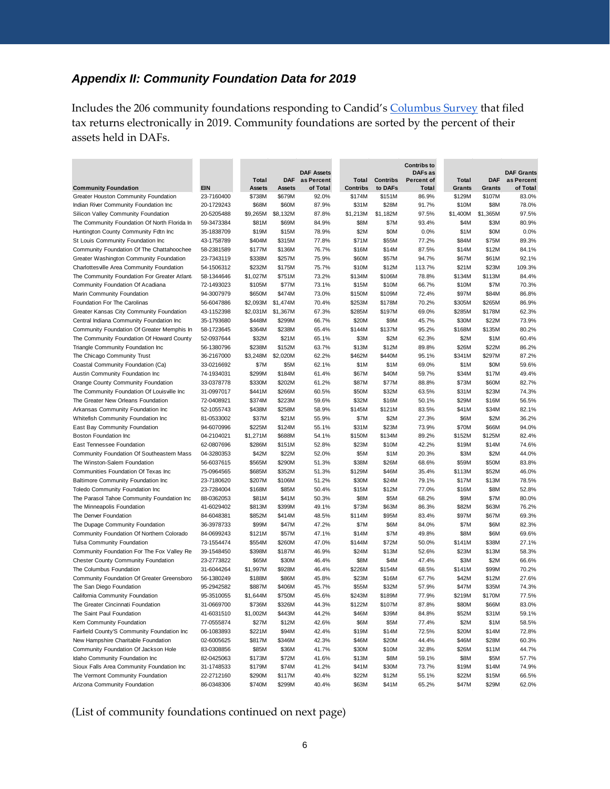# *Appendix II: Community Foundation Data for 2019*

Includes the 206 community foundations responding to Candid's [Columbus Survey](https://columbussurvey.cfinsights.org/dashboard/year/2019/tab/data-lists/) that filed tax returns electronically in 2019. Community foundations are sorted by the percent of their assets held in DAFs.

|                                              |            |          |               |                                 |                          |                 | <b>Contribs to</b>           |              |            |                                 |
|----------------------------------------------|------------|----------|---------------|---------------------------------|--------------------------|-----------------|------------------------------|--------------|------------|---------------------------------|
|                                              |            | Total    | <b>DAF</b>    | <b>DAF Assets</b><br>as Percent |                          | <b>Contribs</b> | DAFs as<br><b>Percent of</b> | <b>Total</b> | <b>DAF</b> | <b>DAF Grants</b><br>as Percent |
| <b>Community Foundation</b>                  | <b>EIN</b> | Assets   | <b>Assets</b> | of Total                        | Total<br><b>Contribs</b> | to DAFs         | Total                        | Grants       | Grants     | of Total                        |
| Greater Houston Community Foundation         | 23-7160400 | \$738M   | \$679M        | 92.0%                           | \$174M                   | \$151M          | 86.9%                        | \$129M       | \$107M     | 83.0%                           |
| Indian River Community Foundation Inc        | 20-1729243 | \$68M    | \$60M         | 87.9%                           | \$31M                    | \$28M           | 91.7%                        | \$10M        | \$8M       | 78.0%                           |
| Silicon Valley Community Foundation          | 20-5205488 | \$9,265M | \$8,132M      | 87.8%                           | \$1.213M                 | \$1,182M        | 97.5%                        | \$1,400M     | \$1,365M   | 97.5%                           |
| The Community Foundation Of North Florida In | 59-3473384 | \$81M    | \$69M         | 84.9%                           | \$8M                     | \$7M            | 93.4%                        | \$4M         | \$3M       | 80.9%                           |
| Huntington County Community Fdtn Inc         | 35-1838709 | \$19M    | \$15M         | 78.9%                           | \$2M                     | \$0M            | 0.0%                         | \$1M         | \$0M       | 0.0%                            |
| St Louis Community Foundation Inc            | 43-1758789 | \$404M   | \$315M        | 77.8%                           | \$71M                    | \$55M           | 77.2%                        | \$84M        | \$75M      | 89.3%                           |
| Community Foundation Of The Chattahoochee    | 58-2381589 | \$177M   | \$136M        | 76.7%                           | \$16M                    | \$14M           | 87.5%                        | \$14M        | \$12M      | 84.1%                           |
| Greater Washington Community Foundation      | 23-7343119 | \$338M   | \$257M        | 75.9%                           | \$60M                    | \$57M           | 94.7%                        | \$67M        | \$61M      | 92.1%                           |
| Charlottesville Area Community Foundation    | 54-1506312 | \$232M   | \$175M        | 75.7%                           | \$10M                    | \$12M           | 113.7%                       | \$21M        | \$23M      | 109.3%                          |
| The Community Foundation For Greater Atlant: | 58-1344646 | \$1,027M | \$751M        | 73.2%                           | \$134M                   | \$106M          | 78.8%                        | \$134M       | \$113M     | 84.4%                           |
| Community Foundation Of Acadiana             | 72-1493023 | \$105M   | \$77M         | 73.1%                           | \$15M                    | \$10M           | 66.7%                        | \$10M        | \$7M       | 70.3%                           |
| Marin Community Foundation                   | 94-3007979 | \$650M   | \$474M        | 73.0%                           | \$150M                   | \$109M          | 72.4%                        | \$97M        | \$84M      | 86.8%                           |
| Foundation For The Carolinas                 | 56-6047886 | \$2,093M | \$1,474M      | 70.4%                           | \$253M                   | \$178M          | 70.2%                        | \$305M       | \$265M     | 86.9%                           |
| Greater Kansas City Community Foundation     | 43-1152398 | \$2,031M | \$1,367M      | 67.3%                           | \$285M                   | \$197M          | 69.0%                        | \$285M       | \$178M     | 62.3%                           |
| Central Indiana Community Foundation Inc     | 35-1793680 | \$448M   | \$299M        | 66.7%                           | \$20M                    | \$9M            | 45.7%                        | \$30M        | \$22M      | 73.9%                           |
| Community Foundation Of Greater Memphis In   | 58-1723645 | \$364M   | \$238M        | 65.4%                           | \$144M                   | \$137M          | 95.2%                        | \$168M       | \$135M     | 80.2%                           |
| The Community Foundation Of Howard County    | 52-0937644 | \$32M    | \$21M         | 65.1%                           | \$3M                     | \$2M            | 62.3%                        | \$2M         | \$1M       | 60.4%                           |
| Triangle Community Foundation Inc            | 56-1380796 | \$238M   | \$152M        | 63.7%                           | \$13M                    | \$12M           | 89.8%                        | \$26M        | \$22M      | 86.2%                           |
| The Chicago Community Trust                  | 36-2167000 | \$3,248M | \$2,020M      | 62.2%                           | \$462M                   | \$440M          | 95.1%                        | \$341M       | \$297M     | 87.2%                           |
| Coastal Community Foundation (Ca)            | 33-0216692 | \$7M     | \$5M          | 62.1%                           | \$1M                     | \$1M            | 69.0%                        | \$1M         | \$0M       | 59.6%                           |
| Austin Community Foundation Inc              | 74-1934031 | \$299M   | \$184M        | 61.4%                           | \$67M                    | \$40M           | 59.7%                        | \$34M        | \$17M      | 49.4%                           |
| Orange County Community Foundation           | 33-0378778 | \$330M   | \$202M        | 61.2%                           | \$87M                    | \$77M           | 88.8%                        | \$73M        | \$60M      | 82.7%                           |
| The Community Foundation Of Louisville Inc   | 31-0997017 | \$441M   | \$266M        | 60.5%                           | \$50M                    | \$32M           | 63.5%                        | \$31M        | \$23M      | 74.3%                           |
| The Greater New Orleans Foundation           | 72-0408921 | \$374M   | \$223M        | 59.6%                           | \$32M                    | \$16M           | 50.1%                        | \$29M        | \$16M      | 56.5%                           |
| Arkansas Community Foundation Inc            | 52-1055743 | \$438M   | \$258M        | 58.9%                           | \$145M                   | \$121M          | 83.5%                        | \$41M        | \$34M      | 82.1%                           |
| Whitefish Community Foundation Inc           | 81-0533002 | \$37M    | \$21M         | 55.9%                           | \$7M                     | \$2M            | 27.3%                        | \$6M         | \$2M       | 36.2%                           |
| East Bay Community Foundation                | 94-6070996 | \$225M   | \$124M        | 55.1%                           | \$31M                    | \$23M           | 73.9%                        | \$70M        | \$66M      | 94.0%                           |
| <b>Boston Foundation Inc</b>                 | 04-2104021 | \$1,271M | \$688M        | 54.1%                           | \$150M                   | \$134M          | 89.2%                        | \$152M       | \$125M     | 82.4%                           |
| <b>East Tennessee Foundation</b>             | 62-0807696 | \$286M   | \$151M        | 52.8%                           | \$23M                    | \$10M           | 42.2%                        | \$19M        | \$14M      | 74.6%                           |
| Community Foundation Of Southeastern Mass    | 04-3280353 | \$42M    | \$22M         | 52.0%                           | \$5M                     | \$1M            | 20.3%                        | \$3M         | \$2M       | 44.0%                           |
| The Winston-Salem Foundation                 | 56-6037615 | \$565M   | \$290M        | 51.3%                           | \$38M                    | \$26M           | 68.6%                        | \$59M        | \$50M      | 83.8%                           |
| Communities Foundation Of Texas Inc          | 75-0964565 | \$685M   | \$352M        | 51.3%                           | \$129M                   | \$46M           | 35.4%                        | \$113M       | \$52M      | 46.0%                           |
| <b>Baltimore Community Foundation Inc</b>    | 23-7180620 | \$207M   | \$106M        | 51.2%                           | \$30M                    | \$24M           | 79.1%                        | \$17M        | \$13M      | 78.5%                           |
| <b>Toledo Community Foundation Inc</b>       | 23-7284004 | \$168M   | \$85M         | 50.4%                           | \$15M                    | \$12M           | 77.0%                        | \$16M        | \$8M       | 52.8%                           |
| The Parasol Tahoe Community Foundation Inc   | 88-0362053 | \$81M    | \$41M         | 50.3%                           | \$8M                     | \$5M            | 68.2%                        | \$9M         | \$7M       | 80.0%                           |
| The Minneapolis Foundation                   | 41-6029402 | \$813M   | \$399M        | 49.1%                           | \$73M                    | \$63M           | 86.3%                        | \$82M        | \$63M      | 76.2%                           |
| The Denver Foundation                        | 84-6048381 | \$852M   | \$414M        | 48.5%                           | \$114M                   | \$95M           | 83.4%                        | \$97M        | \$67M      | 69.3%                           |
| The Dupage Community Foundation              | 36-3978733 | \$99M    | \$47M         | 47.2%                           | \$7M                     | \$6M            | 84.0%                        | \$7M         | \$6M       | 82.3%                           |
| Community Foundation Of Northern Colorado    | 84-0699243 | \$121M   | \$57M         | 47.1%                           | \$14M                    | \$7M            | 49.8%                        | \$8M         | \$6M       | 69.6%                           |
| <b>Tulsa Community Foundation</b>            | 73-1554474 | \$554M   | \$260M        | 47.0%                           | \$144M                   | \$72M           | 50.0%                        | \$141M       | \$38M      | 27.1%                           |
| Community Foundation For The Fox Valley Re   | 39-1548450 | \$398M   | \$187M        | 46.9%                           | \$24M                    | \$13M           | 52.6%                        | \$23M        | \$13M      | 58.3%                           |
| <b>Chester County Community Foundation</b>   | 23-2773822 | \$65M    | \$30M         | 46.4%                           | \$8M                     | \$4M            | 47.4%                        | \$3M         | \$2M       | 66.6%                           |
| The Columbus Foundation                      | 31-6044264 | \$1,997M | \$928M        | 46.4%                           | \$226M                   | \$154M          | 68.5%                        | \$141M       | \$99M      | 70.2%                           |
| Community Foundation Of Greater Greensboro   | 56-1380249 | \$188M   | \$86M         | 45.8%                           | \$23M                    | \$16M           | 67.7%                        | \$42M        | \$12M      | 27.6%                           |
| The San Diego Foundation                     | 95-2942582 | \$887M   | \$406M        | 45.7%                           | \$55M                    | \$32M           | 57.9%                        | \$47M        | \$35M      | 74.3%                           |
| California Community Foundation              | 95-3510055 | \$1,644M | \$750M        | 45.6%                           | \$243M                   | \$189M          | 77.9%                        | \$219M       | \$170M     | 77.5%                           |
| The Greater Cincinnati Foundation            | 31-0669700 | \$736M   | \$326M        | 44.3%                           | \$122M                   | \$107M          | 87.8%                        | \$80M        | \$66M      | 83.0%                           |
| The Saint Paul Foundation                    | 41-6031510 | \$1,002M | \$443M        | 44.2%                           | \$46M                    | \$39M           | 84.8%                        | \$52M        | \$31M      | 59.1%                           |
| Kern Community Foundation                    | 77-0555874 | \$27M    | \$12M         | 42.6%                           | \$6M                     | \$5M            | 77.4%                        | \$2M         | \$1M       | 58.5%                           |
| Fairfield County'S Community Foundation Inc  | 06-1083893 | \$221M   | \$94M         | 42.4%                           | \$19M                    | \$14M           | 72.5%                        | \$20M        | \$14M      | 72.8%                           |
| New Hampshire Charitable Foundation          | 02-6005625 | \$817M   | \$346M        | 42.3%                           | \$46M                    | \$20M           | 44.4%                        | \$46M        | \$28M      | 60.3%                           |
| Community Foundation Of Jackson Hole         | 83-0308856 | \$85M    | \$36M         | 41.7%                           | \$30M                    | \$10M           | 32.8%                        | \$26M        | \$11M      | 44.7%                           |
| Idaho Community Foundation Inc               | 82-0425063 | \$173M   | \$72M         | 41.6%                           | \$13M                    | \$8M            | 59.1%                        | \$8M         | \$5M       | 57.7%                           |
| Sioux Falls Area Community Foundation Inc    | 31-1748533 | \$179M   | \$74M         | 41.2%                           | \$41M                    | \$30M           | 73.7%                        | \$19M        | \$14M      | 74.9%                           |
| The Vermont Community Foundation             | 22-2712160 | \$290M   | \$117M        | 40.4%                           | \$22M                    | \$12M           | 55.1%                        | \$22M        | \$15M      | 66.5%                           |
| Arizona Community Foundation                 | 86-0348306 | \$740M   | \$299M        | 40.4%                           | \$63M                    | \$41M           | 65.2%                        | \$47M        | \$29M      | 62.0%                           |

(List of community foundations continued on next page)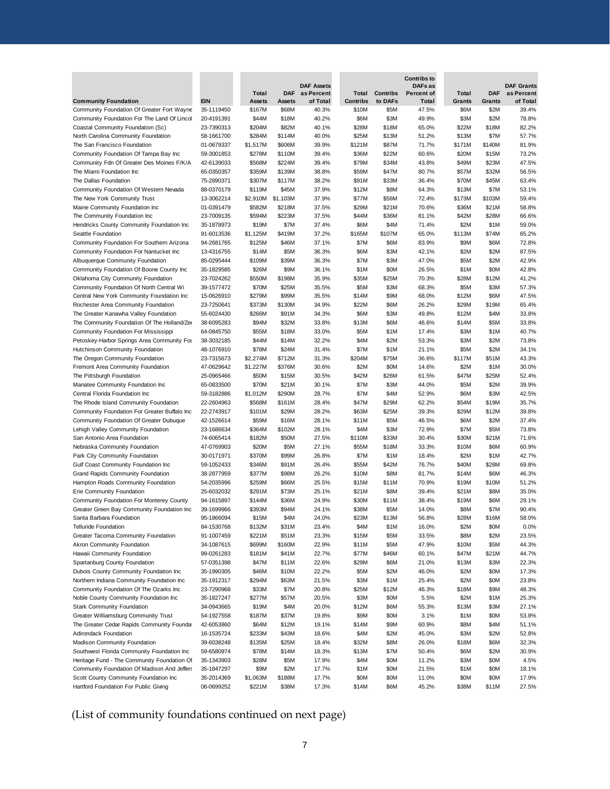|                                                                                |                          |                  |                  |                                 |                 |                 | <b>Contribs to</b>           |                |                |                                 |
|--------------------------------------------------------------------------------|--------------------------|------------------|------------------|---------------------------------|-----------------|-----------------|------------------------------|----------------|----------------|---------------------------------|
|                                                                                |                          | Total            | <b>DAF</b>       | <b>DAF Assets</b><br>as Percent | Total           | <b>Contribs</b> | DAFs as<br><b>Percent of</b> | <b>Total</b>   | <b>DAF</b>     | <b>DAF Grants</b><br>as Percent |
| <b>Community Foundation</b>                                                    | <b>EIN</b>               | Assets           | <b>Assets</b>    | of Total                        | <b>Contribs</b> | to DAFs         | Total                        | Grants         | Grants         | of Total                        |
| Community Foundation Of Greater Fort Wayne                                     | 35-1119450               | \$167M           | \$68M            | 40.3%                           | \$10M           | \$5M            | 47.5%                        | \$6M           | \$2M           | 39.4%                           |
| Community Foundation For The Land Of Lincol                                    | 20-4191391               | \$44M            | \$18M            | 40.2%                           | \$6M            | \$3M            | 49.9%                        | \$3M           | \$2M           | 78.8%                           |
| Coastal Community Foundation (Sc)                                              | 23-7390313               | \$204M           | \$82M            | 40.1%                           | \$28M           | \$18M           | 65.0%                        | \$22M          | \$18M          | 82.2%                           |
| North Carolina Community Foundation                                            | 58-1661700               | \$284M           | \$114M           | 40.0%                           | \$25M           | \$13M           | 51.2%                        | \$13M          | \$7M           | 57.7%                           |
| The San Francisco Foundation                                                   | 01-0679337               | \$1,517M         | \$606M           | 39.9%                           | \$121M          | \$87M           | 71.7%                        | \$171M         | \$140M         | 81.9%                           |
| Community Foundation Of Tampa Bay Inc                                          | 59-3001853               | \$278M           | \$110M           | 39.4%                           | \$36M           | \$22M           | 60.6%                        | \$20M          | \$15M          | 73.2%                           |
| Community Fdn Of Greater Des Moines F/K/A<br>The Miami Foundation Inc          | 42-6139033<br>65-0350357 | \$568M<br>\$359M | \$224M<br>\$139M | 39.4%<br>38.8%                  | \$79M<br>\$59M  | \$34M<br>\$47M  | 43.8%<br>80.7%               | \$49M<br>\$57M | \$23M<br>\$32M | 47.5%<br>56.5%                  |
| The Dallas Foundation                                                          | 75-2890371               | \$307M           | \$117M           | 38.2%                           | \$91M           | \$33M           | 36.4%                        | \$70M          | \$45M          | 63.4%                           |
| Community Foundation Of Western Nevada                                         | 88-0370179               | \$119M           | \$45M            | 37.9%                           | \$12M           | \$8M            | 64.3%                        | \$13M          | \$7M           | 53.1%                           |
| The New York Community Trust                                                   | 13-3062214               | \$2,910M         | \$1,103M         | 37.9%                           | \$77M           | \$56M           | 72.4%                        | \$173M         | \$103M         | 59.4%                           |
| Maine Community Foundation Inc                                                 | 01-0391479               | \$582M           | \$218M           | 37.5%                           | \$29M           | \$21M           | 70.6%                        | \$36M          | \$21M          | 58.8%                           |
| The Community Foundation Inc                                                   | 23-7009135               | \$594M           | \$223M           | 37.5%                           | \$44M           | \$36M           | 81.1%                        | \$42M          | \$28M          | 66.6%                           |
| Hendricks County Community Foundation Inc                                      | 35-1878973               | \$19M            | \$7M             | 37.4%                           | \$6M            | \$4M            | 71.4%                        | \$2M           | \$1M           | 59.0%                           |
| Seattle Foundation                                                             | 91-6013536               | \$1,125M         | \$419M           | 37.2%                           | \$165M          | \$107M          | 65.0%                        | \$113M         | \$74M          | 65.2%                           |
| Community Foundation For Southern Arizona                                      | 94-2681765               | \$125M           | \$46M            | 37.1%                           | \$7M            | \$6M            | 83.9%                        | \$9M           | \$6M           | 72.8%                           |
| Community Foundation For Nantucket Inc                                         | 13-4316755               | \$14M            | \$5M             | 36.3%                           | \$6M            | \$3M            | 42.1%                        | \$2M           | \$2M           | 87.5%                           |
| Albuquerque Community Foundation                                               | 85-0295444               | \$109M           | \$39M            | 36.3%                           | \$7M            | \$3M            | 47.0%                        | \$5M           | \$2M           | 42.9%                           |
| Community Foundation Of Boone County Inc                                       | 35-1829585               | \$26M            | \$9M             | 36.1%                           | \$1M            | \$0M            | 26.5%                        | \$1M           | \$0M           | 42.8%                           |
| Oklahoma City Community Foundation<br>Community Foundation Of North Central Wi | 23-7024262               | \$550M           | \$198M           | 35.9%                           | \$35M           | \$25M           | 70.3%                        | \$28M          | \$12M          | 41.2%                           |
| Central New York Community Foundation Inc                                      | 39-1577472<br>15-0626910 | \$70M<br>\$279M  | \$25M<br>\$99M   | 35.5%<br>35.5%                  | \$5M<br>\$14M   | \$3M<br>\$9M    | 68.3%<br>68.0%               | \$5M<br>\$12M  | \$3M<br>\$6M   | 57.3%<br>47.5%                  |
| Rochester Area Community Foundation                                            | 23-7250641               | \$373M           | \$130M           | 34.9%                           | \$22M           | \$6M            | 26.2%                        | \$29M          | \$19M          | 65.4%                           |
| The Greater Kanawha Valley Foundation                                          | 55-6024430               | \$266M           | \$91M            | 34.3%                           | \$6M            | \$3M            | 49.8%                        | \$12M          | \$4M           | 33.8%                           |
| The Community Foundation Of The Holland/Zer                                    | 38-6095283               | \$94M            | \$32M            | 33.8%                           | \$13M           | \$6M            | 46.6%                        | \$14M          | \$5M           | 33.8%                           |
| Community Foundation For Mississippi                                           | 64-0845750               | \$55M            | \$18M            | 33.0%                           | \$5M            | \$1M            | 17.4%                        | \$3M           | \$1M           | 40.7%                           |
| Petoskey-Harbor Springs Area Community For                                     | 38-3032185               | \$44M            | \$14M            | 32.2%                           | \$4M            | \$2M            | 53.3%                        | \$3M           | \$2M           | 73.8%                           |
| Hutchinson Community Foundation                                                | 48-1076910               | \$78M            | \$24M            | 31.4%                           | \$7M            | \$1M            | 21.1%                        | \$5M           | \$2M           | 34.1%                           |
| The Oregon Community Foundation                                                | 23-7315673               | \$2,274M         | \$712M           | 31.3%                           | \$204M          | \$75M           | 36.6%                        | \$117M         | \$51M          | 43.3%                           |
| Fremont Area Community Foundation                                              | 47-0629642               | \$1,227M         | \$376M           | 30.6%                           | \$2M            | \$0M            | 14.6%                        | \$2M           | \$1M           | 30.0%                           |
| The Pittsburgh Foundation                                                      | 25-0965466               | \$50M            | \$15M            | 30.5%                           | \$42M           | \$26M           | 61.5%                        | \$47M          | \$25M          | 52.4%                           |
| Manatee Community Foundation Inc                                               | 65-0833500               | \$70M            | \$21M            | 30.1%                           | \$7M            | \$3M            | 44.0%                        | \$5M           | \$2M           | 39.9%                           |
| Central Florida Foundation Inc                                                 | 59-3182886               | \$1,012M         | \$290M           | 28.7%                           | \$7M            | \$4M            | 52.9%                        | \$6M           | \$3M           | 42.5%                           |
| The Rhode Island Community Foundation                                          | 22-2604963               | \$568M           | \$161M           | 28.4%                           | \$47M           | \$29M           | 62.2%                        | \$54M          | \$19M          | 35.7%                           |
| Community Foundation For Greater Buffalo Inc                                   | 22-2743917               | \$101M           | \$29M            | 28.2%                           | \$63M           | \$25M           | 39.3%                        | \$29M          | \$12M          | 39.8%                           |
| Community Foundation Of Greater Dubuque<br>Lehigh Valley Community Foundation  | 42-1526614<br>23-1686634 | \$59M<br>\$364M  | \$16M<br>\$102M  | 28.1%<br>28.1%                  | \$11M<br>\$4M   | \$5M<br>\$3M    | 46.5%<br>72.9%               | \$6M<br>\$7M   | \$2M<br>\$5M   | 37.4%<br>73.8%                  |
| San Antonio Area Foundation                                                    | 74-6065414               | \$182M           | \$50M            | 27.5%                           | \$110M          | \$33M           | 30.4%                        | \$30M          | \$21M          | 71.6%                           |
| Nebraska Community Foundation                                                  | 47-0769903               | \$20M            | \$5M             | 27.1%                           | \$55M           | \$18M           | 33.3%                        | \$10M          | \$6M           | 60.9%                           |
| Park City Community Foundation                                                 | 30-0171971               | \$370M           | \$99M            | 26.8%                           | \$7M            | \$1M            | 18.4%                        | \$2M           | \$1M           | 42.7%                           |
| Gulf Coast Community Foundation Inc                                            | 59-1052433               | \$346M           | \$91M            | 26.4%                           | \$55M           | \$42M           | 76.7%                        | \$40M          | \$28M          | 69.8%                           |
| Grand Rapids Community Foundation                                              | 38-2877959               | \$377M           | \$98M            | 26.2%                           | \$10M           | \$8M            | 81.7%                        | \$14M          | \$6M           | 46.3%                           |
| Hampton Roads Community Foundation                                             | 54-2035996               | \$259M           | \$66M            | 25.5%                           | \$15M           | \$11M           | 70.9%                        | \$19M          | \$10M          | 51.2%                           |
| Erie Community Foundation                                                      | 25-6032032               | \$291M           | \$73M            | 25.1%                           | \$21M           | \$8M            | 39.4%                        | \$21M          | \$8M           | 35.0%                           |
| Community Foundation For Monterey County                                       | 94-1615897               | \$144M           | \$36M            | 24.9%                           | \$30M           | \$11M           | 38.4%                        | \$19M          | \$6M           | 29.1%                           |
| Greater Green Bay Community Foundation Inc                                     | 39-1699966               | \$393M           | \$94M            | 24.1%                           | \$38M           | \$5M            | 14.0%                        | \$8M           | \$7M           | 90.4%                           |
| Santa Barbara Foundation                                                       | 95-1866094               | \$15M            | \$4M             | 24.0%                           | \$23M           | \$13M           | 56.8%                        | \$28M          | \$16M          | 58.0%                           |
| <b>Telluride Foundation</b>                                                    | 84-1530768               | \$132M           | \$31M            | 23.4%                           | \$4M            | \$1M            | 16.0%                        | \$2M           | \$0M           | 0.0%                            |
| Greater Tacoma Community Foundation                                            | 91-1007459               | \$221M           | \$51M            | 23.3%                           | \$15M           | \$5M            | 33.5%                        | \$8M           | \$2M           | 23.5%                           |
| Akron Community Foundation<br>Hawaii Community Foundation                      | 34-1087615<br>99-0261283 | \$699M<br>\$181M | \$160M<br>\$41M  | 22.9%<br>22.7%                  | \$11M<br>\$77M  | \$5M<br>\$46M   | 47.9%<br>60.1%               | \$10M<br>\$47M | \$5M<br>\$21M  | 44.3%<br>44.7%                  |
| Spartanburg County Foundation                                                  | 57-0351398               | \$47M            | \$11M            | 22.6%                           | \$29M           | \$6M            | 21.0%                        | \$13M          | \$3M           | 22.3%                           |
| Dubois County Community Foundation Inc                                         | 35-1990305               | \$46M            | \$10M            | 22.2%                           | \$5M            | \$2M            | 46.0%                        | \$2M           | \$0M           | 17.3%                           |
| Northern Indiana Community Foundation Inc                                      | 35-1912317               | \$294M           | \$63M            | 21.5%                           | \$3M            | \$1M            | 25.4%                        | \$2M           | \$0M           | 23.8%                           |
| Community Foundation Of The Ozarks Inc                                         | 23-7290968               | \$33M            | \$7M             | 20.8%                           | \$25M           | \$12M           | 46.3%                        | \$18M          | \$9M           | 48.3%                           |
| Noble County Community Foundation Inc                                          | 35-1827247               | \$277M           | \$57M            | 20.5%                           | \$3M            | \$0M            | 5.5%                         | \$2M           | \$1M           | 25.3%                           |
| <b>Stark Community Foundation</b>                                              | 34-0943665               | \$19M            | \$4M             | 20.0%                           | \$12M           | \$6M            | 55.3%                        | \$13M          | \$3M           | 27.1%                           |
| Greater Williamsburg Community Trust                                           | 54-1927558               | \$187M           | \$37M            | 19.8%                           | \$9M            | \$0M            | 3.1%                         | \$1M           | \$0M           | 53.8%                           |
| The Greater Cedar Rapids Community Foundat                                     | 42-6053860               | \$64M            | \$12M            | 19.1%                           | \$14M           | \$9M            | 60.9%                        | \$8M           | \$4M           | 51.1%                           |
| <b>Adirondack Foundation</b>                                                   | 16-1535724               | \$233M           | \$43M            | 18.6%                           | \$4M            | \$2M            | 45.0%                        | \$3M           | \$2M           | 52.8%                           |
| <b>Madison Community Foundation</b>                                            | 39-6038248               | \$135M           | \$25M            | 18.4%                           | \$32M           | \$8M            | 26.0%                        | \$18M          | \$6M           | 32.3%                           |
| Southwest Florida Community Foundation Inc                                     | 59-6580974               | \$78M            | \$14M            | 18.3%                           | \$13M           | \$7M            | 50.4%                        | \$6M           | \$2M           | 30.9%                           |
| Heritage Fund - The Community Foundation Of                                    | 35-1343903               | \$28M            | \$5M             | 17.9%                           | \$4M            | \$0M            | 11.2%                        | \$3M           | \$0M           | 4.5%                            |
| Community Foundation Of Madison And Jeffers                                    | 35-1847297               | \$9M             | \$2M             | 17.7%                           | \$1M            | \$0M            | 21.5%                        | \$1M           | \$0M           | 18.1%                           |
| Scott County Community Foundation Inc                                          | 35-2014369               | \$1,063M         | \$188M           | 17.7%                           | \$0M            | \$0M            | 11.0%                        | \$0M           | \$0M           | 17.9%                           |
| Hartford Foundation For Public Giving                                          | 06-0699252               | \$221M           | \$38M            | 17.3%                           | \$14M           | \$6M            | 45.2%                        | \$38M          | \$11M          | 27.5%                           |
| (List of community foundations continued on next page)                         |                          |                  |                  |                                 |                 |                 |                              |                |                |                                 |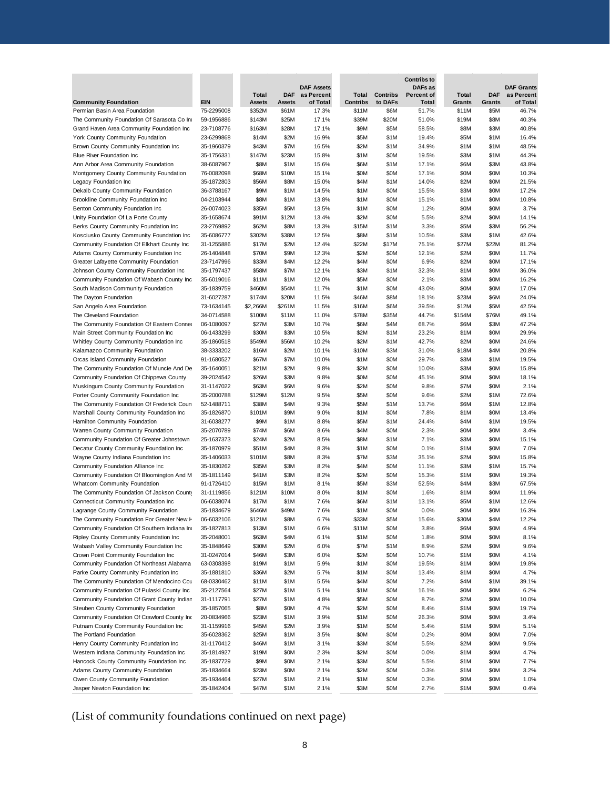|                                                                                    |                          |                 |               |                                 |                 |                 | <b>Contribs to</b>           |              |               |                                 |
|------------------------------------------------------------------------------------|--------------------------|-----------------|---------------|---------------------------------|-----------------|-----------------|------------------------------|--------------|---------------|---------------------------------|
|                                                                                    |                          | Total           | <b>DAF</b>    | <b>DAF Assets</b><br>as Percent | Total           | <b>Contribs</b> | DAFs as<br><b>Percent of</b> | Total        | <b>DAF</b>    | <b>DAF Grants</b><br>as Percent |
| <b>Community Foundation</b>                                                        | EIN                      | Assets          | <b>Assets</b> | of Total                        | <b>Contribs</b> | to DAFs         | Total                        | Grants       | <b>Grants</b> | of Total                        |
| Permian Basin Area Foundation                                                      | 75-2295008               | \$352M          | \$61M         | 17.3%                           | \$11M           | \$6M            | 51.7%                        | \$11M        | \$5M          | 46.7%                           |
| The Community Foundation Of Sarasota Co Ind                                        | 59-1956886               | \$143M          | \$25M         | 17.1%                           | \$39M           | \$20M           | 51.0%                        | \$19M        | \$8M          | 40.3%                           |
| Grand Haven Area Community Foundation Inc                                          | 23-7108776               | \$163M          | \$28M         | 17.1%                           | \$9M            | \$5M            | 58.5%                        | \$8M         | \$3M          | 40.8%                           |
| York County Community Foundation                                                   | 23-6299868               | \$14M           | \$2M          | 16.9%                           | \$5M            | \$1M            | 19.4%                        | \$5M         | \$1M          | 16.4%                           |
| Brown County Community Foundation Inc                                              | 35-1960379               | \$43M           | \$7M          | 16.5%                           | \$2M            | \$1M            | 34.9%                        | \$1M         | \$1M          | 48.5%                           |
| <b>Blue River Foundation Inc</b>                                                   | 35-1756331               | \$147M          | \$23M         | 15.8%                           | \$1M            | \$0M            | 19.5%                        | \$3M         | \$1M          | 44.3%                           |
| Ann Arbor Area Community Foundation                                                | 38-6087967               | \$8M            | \$1M          | 15.6%                           | \$6M            | \$1M            | 17.1%                        | \$6M         | \$3M          | 43.8%                           |
| Montgomery County Community Foundation                                             | 76-0082098               | \$68M           | \$10M         | 15.1%                           | \$0M            | \$0M            | 17.1%                        | \$0M         | \$0M          | 10.3%                           |
| Legacy Foundation Inc                                                              | 35-1872803               | \$56M           | \$8M          | 15.0%                           | \$4M            | \$1M            | 14.0%                        | \$2M         | \$0M          | 21.5%                           |
| Dekalb County Community Foundation                                                 | 36-3788167               | \$9M            | \$1M          | 14.5%                           | \$1M            | \$0M            | 15.5%                        | \$3M         | \$0M          | 17.2%                           |
| Brookline Community Foundation Inc                                                 | 04-2103944               | \$8M            | \$1M          | 13.8%                           | \$1M            | \$0M            | 15.1%                        | \$1M         | \$0M          | 10.8%                           |
| Benton Community Foundation Inc                                                    | 26-0074023               | \$35M           | \$5M          | 13.5%                           | \$1M            | \$0M            | 1.2%                         | \$0M         | \$0M          | 3.7%                            |
| Unity Foundation Of La Porte County                                                | 35-1658674               | \$91M           | \$12M         | 13.4%                           | \$2M            | \$0M            | 5.5%                         | \$2M         | \$0M          | 14.1%                           |
| Berks County Community Foundation Inc<br>Kosciusko County Community Foundation Inc | 23-2769892<br>35-6086777 | \$62M<br>\$302M | \$8M<br>\$38M | 13.3%<br>12.5%                  | \$15M<br>\$8M   | \$1M<br>\$1M    | 3.3%<br>10.5%                | \$5M<br>\$3M | \$3M<br>\$1M  | 56.2%<br>42.6%                  |
| Community Foundation Of Elkhart County Inc                                         | 31-1255886               | \$17M           | \$2M          | 12.4%                           | \$22M           | \$17M           | 75.1%                        | \$27M        | \$22M         | 81.2%                           |
| Adams County Community Foundation Inc                                              | 26-1404848               | \$70M           | \$9M          | 12.3%                           | \$2M            | \$0M            | 12.1%                        | \$2M         | \$0M          | 11.7%                           |
| Greater Lafayette Community Foundation                                             | 23-7147996               | \$33M           | \$4M          | 12.2%                           | \$4M            | \$0M            | 6.9%                         | \$2M         | \$0M          | 17.1%                           |
| Johnson County Community Foundation Inc                                            | 35-1797437               | \$58M           | \$7M          | 12.1%                           | \$3M            | \$1M            | 32.3%                        | \$1M         | \$0M          | 36.0%                           |
| Community Foundation Of Wabash County Inc                                          | 35-6019016               | \$11M           | \$1M          | 12.0%                           | \$5M            | \$0M            | 2.1%                         | \$3M         | \$0M          | 16.2%                           |
| South Madison Community Foundation                                                 | 35-1839759               | \$460M          | \$54M         | 11.7%                           | \$1M            | \$0M            | 43.0%                        | \$0M         | \$0M          | 17.0%                           |
| The Dayton Foundation                                                              | 31-6027287               | \$174M          | \$20M         | 11.5%                           | \$46M           | \$8M            | 18.1%                        | \$23M        | \$6M          | 24.0%                           |
| San Angelo Area Foundation                                                         | 73-1634145               | \$2,266M        | \$261M        | 11.5%                           | \$16M           | \$6M            | 39.5%                        | \$12M        | \$5M          | 42.5%                           |
| The Cleveland Foundation                                                           | 34-0714588               | \$100M          | \$11M         | 11.0%                           | \$78M           | \$35M           | 44.7%                        | \$154M       | \$76M         | 49.1%                           |
| The Community Foundation Of Eastern Conner                                         | 06-1080097               | \$27M           | \$3M          | 10.7%                           | \$6M            | \$4M            | 68.7%                        | \$6M         | \$3M          | 47.2%                           |
| Main Street Community Foundation Inc                                               | 06-1433299               | \$30M           | \$3M          | 10.5%                           | \$2M            | \$1M            | 23.2%                        | \$1M         | \$0M          | 29.9%                           |
| Whitley County Community Foundation Inc                                            | 35-1860518               | \$549M          | \$56M         | 10.2%                           | \$2M            | \$1M            | 42.7%                        | \$2M         | \$0M          | 24.6%                           |
| Kalamazoo Community Foundation                                                     | 38-3333202               | \$16M           | \$2M          | 10.1%                           | \$10M           | \$3M            | 31.0%                        | \$18M        | \$4M          | 20.8%                           |
| Orcas Island Community Foundation                                                  | 91-1680527               | \$67M           | \$7M          | 10.0%                           | \$1M            | \$0M            | 29.7%                        | \$3M         | \$1M          | 19.5%                           |
| The Community Foundation Of Muncie And De                                          | 35-1640051               | \$21M           | \$2M          | 9.8%                            | \$2M            | \$0M            | 10.0%                        | \$3M         | \$0M          | 15.8%                           |
| Community Foundation Of Chippewa County                                            | 39-2024542               | \$26M           | \$3M          | 9.8%                            | \$0M            | \$0M            | 45.1%                        | \$0M         | \$0M          | 18.1%                           |
| Muskingum County Community Foundation                                              | 31-1147022               | \$63M           | \$6M          | 9.6%                            | \$2M            | \$0M            | 9.8%                         | \$7M         | \$0M          | 2.1%                            |
| Porter County Community Foundation Inc                                             | 35-2000788               | \$129M          | \$12M         | 9.5%                            | \$5M            | \$0M            | 9.6%                         | \$2M         | \$1M          | 72.6%                           |
| The Community Foundation Of Frederick Coun                                         | 52-1488711               | \$38M           | \$4M          | 9.3%                            | \$5M            | \$1M            | 13.7%<br>7.8%                | \$6M<br>\$1M | \$1M<br>\$0M  | 12.8%                           |
| Marshall County Community Foundation Inc<br>Hamilton Community Foundation          | 35-1826870<br>31-6038277 | \$101M<br>\$9M  | \$9M<br>\$1M  | 9.0%<br>8.8%                    | \$1M<br>\$5M    | \$0M<br>\$1M    | 24.4%                        | \$4M         | \$1M          | 13.4%<br>19.5%                  |
| Warren County Community Foundation                                                 | 35-2070789               | \$74M           | \$6M          | 8.6%                            | \$4M            | \$0M            | 2.3%                         | \$0M         | \$0M          | 3.4%                            |
| Community Foundation Of Greater Johnstown                                          | 25-1637373               | \$24M           | \$2M          | 8.5%                            | \$8M            | \$1M            | 7.1%                         | \$3M         | \$0M          | 15.1%                           |
| Decatur County Community Foundation Inc                                            | 35-1870979               | \$51M           | \$4M          | 8.3%                            | \$1M            | \$0M            | 0.1%                         | \$1M         | \$0M          | 7.0%                            |
| Wayne County Indiana Foundation Inc                                                | 35-1406033               | \$101M          | \$8M          | 8.3%                            | \$7M            | \$3M            | 35.1%                        | \$2M         | \$0M          | 15.8%                           |
| Community Foundation Alliance Inc                                                  | 35-1830262               | \$35M           | \$3M          | 8.2%                            | \$4M            | \$0M            | 11.1%                        | \$3M         | \$1M          | 15.7%                           |
| Community Foundation Of Bloomington And M                                          | 35-1811149               | \$41M           | \$3M          | 8.2%                            | \$2M            | \$0M            | 15.3%                        | \$1M         | \$0M          | 19.3%                           |
| Whatcom Community Foundation                                                       | 91-1726410               | \$15M           | \$1M          | 8.1%                            | \$5M            | \$3M            | 52.5%                        | \$4M         | \$3M          | 67.5%                           |
| The Community Foundation Of Jackson County                                         | 31-1119856               | \$121M          | \$10M         | 8.0%                            | \$1M            | \$0M            | 1.6%                         | \$1M         | \$0M          | 11.9%                           |
| Connecticut Community Foundation Inc                                               | 06-6038074               | \$17M           | \$1M          | 7.6%                            | \$6M            | \$1M            | 13.1%                        | \$5M         | \$1M          | 12.6%                           |
| Lagrange County Community Foundation                                               | 35-1834679               | \$646M          | \$49M         | 7.6%                            | \$1M            | \$0M            | 0.0%                         | \$0M         | \$0M          | 16.3%                           |
| The Community Foundation For Greater New H                                         | 06-6032106               | \$121M          | \$8M          | 6.7%                            | \$33M           | \$5M            | 15.6%                        | \$30M        | \$4M          | 12.2%                           |
| Community Foundation Of Southern Indiana Ind                                       | 35-1827813               | \$13M           | \$1M          | 6.6%                            | \$11M           | \$0M            | 3.8%                         | \$6M         | \$0M          | 4.9%                            |
| Ripley County Community Foundation Inc<br>Wabash Valley Community Foundation Inc   | 35-2048001<br>35-1848649 | \$63M<br>\$30M  | \$4M<br>\$2M  | 6.1%<br>6.0%                    | \$1M<br>\$7M    | \$0M<br>\$1M    | 1.8%<br>8.9%                 | \$0M<br>\$2M | \$0M<br>\$0M  | 8.1%<br>9.6%                    |
| Crown Point Community Foundation Inc                                               | 31-0247014               | \$46M           | \$3M          | 6.0%                            | \$2M            | \$0M            | 10.7%                        | \$1M         | \$0M          | 4.1%                            |
| Community Foundation Of Northeast Alabama                                          | 63-0308398               | \$19M           | \$1M          | 5.9%                            | \$1M            | \$0M            | 19.5%                        | \$1M         | \$0M          | 19.8%                           |
| Parke County Community Foundation Inc                                              | 35-1881810               | \$36M           | \$2M          | 5.7%                            | \$1M            | \$0M            | 13.4%                        | \$1M         | \$0M          | 4.7%                            |
| The Community Foundation Of Mendocino Cou                                          | 68-0330462               | \$11M           | \$1M          | 5.5%                            | \$4M            | \$0M            | 7.2%                         | \$4M         | \$1M          | 39.1%                           |
| Community Foundation Of Pulaski County Inc                                         | 35-2127564               | \$27M           | \$1M          | 5.1%                            | \$1M            | \$0M            | 16.1%                        | \$0M         | \$0M          | 6.2%                            |
| Community Foundation Of Grant County Indian                                        | 31-1117791               | \$27M           | \$1M          | 4.8%                            | \$5M            | \$0M            | 8.7%                         | \$2M         | \$0M          | 10.0%                           |
| Steuben County Community Foundation                                                | 35-1857065               | \$8M            | \$0M          | 4.7%                            | \$2M            | \$0M            | 8.4%                         | \$1M         | \$0M          | 19.7%                           |
| Community Foundation Of Crawford County Inc                                        | 20-0834966               | \$23M           | \$1M          | 3.9%                            | \$1M            | \$0M            | 26.3%                        | \$0M         | \$0M          | 3.4%                            |
| Putnam County Community Foundation Inc                                             | 31-1159916               | \$45M           | \$2M          | 3.9%                            | \$1M            | \$0M            | 5.4%                         | \$1M         | \$0M          | 5.1%                            |
| The Portland Foundation                                                            | 35-6028362               | \$25M           | \$1M          | 3.5%                            | \$0M            | \$0M            | 0.2%                         | \$0M         | \$0M          | 7.0%                            |
| Henry County Community Foundation Inc                                              | 31-1170412               | \$46M           | \$1M          | 3.1%                            | \$3M            | \$0M            | 5.5%                         | \$2M         | \$0M          | 9.5%                            |
| Western Indiana Community Foundation Inc                                           | 35-1814927               | \$19M           | \$0M          | 2.3%                            | \$2M            | \$0M            | 0.0%                         | \$1M         | \$0M          | 4.7%                            |
| Hancock County Community Foundation Inc                                            | 35-1837729               | \$9M            | \$0M          | 2.1%                            | \$3M            | \$0M            | 5.5%                         | \$1M         | \$0M          | 7.7%                            |
| Adams County Community Foundation                                                  | 35-1834664               | \$23M           | \$0M          | 2.1%                            | \$2M            | \$0M            | 0.3%                         | \$1M         | \$0M          | 3.2%                            |
| Owen County Community Foundation                                                   | 35-1934464               | \$27M           | \$1M          | 2.1%                            | \$1M            | \$0M            | 0.3%                         | \$0M         | \$0M          | 1.0%                            |
| Jasper Newton Foundation Inc                                                       | 35-1842404               | \$47M           | \$1M          | 2.1%                            | \$3M            | \$0M            | 2.7%                         | \$1M         | \$0M          | 0.4%                            |
| (List of community foundations continued on next page)                             |                          |                 |               |                                 |                 |                 |                              |              |               |                                 |